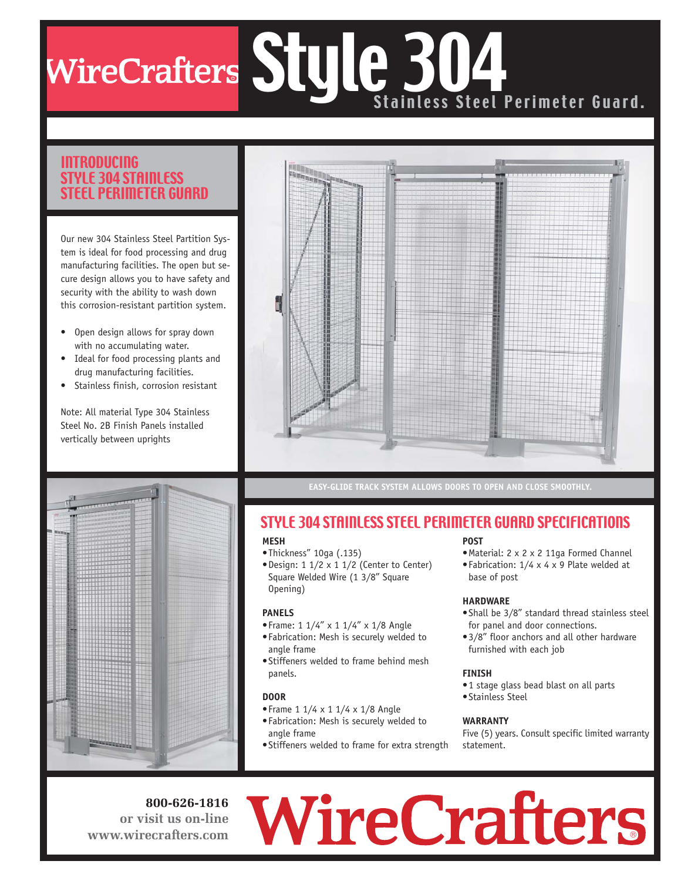## R Style 304 Stainless Steel Perimeter Guard.

#### INTRODUCING STYLE 304 STAINLESS STEEL PERIMETER GUARD

Our new 304 Stainless Steel Partition System is ideal for food processing and drug manufacturing facilities. The open but secure design allows you to have safety and security with the ability to wash down this corrosion-resistant partition system.

- Open design allows for spray down with no accumulating water.
- Ideal for food processing plants and drug manufacturing facilities.
- Stainless finish, corrosion resistant

Note: All material Type 304 Stainless Steel No. 2B Finish Panels installed vertically between uprights



**EASY-GLIDE TRACK SYSTEM ALLOWS DOORS TO OPEN AND CLOSE SMOOTHLY.**

### STYLE 304 STAINLESS STEEL PERIMETER GUARD SPECIFICATIONS

#### **MESH**

- •Thickness" 10ga (.135)
- •Design: 1 1/2 x 1 1/2 (Center to Center) Square Welded Wire (1 3/8" Square Opening)

#### **PANELS**

- •Frame: 1 1/4" x 1 1/4" x 1/8 Angle
- •Fabrication: Mesh is securely welded to angle frame
- •Stiffeners welded to frame behind mesh panels.

#### **DOOR**

- •Frame 1 1/4 x 1 1/4 x 1/8 Angle
- •Fabrication: Mesh is securely welded to angle frame
- •Stiffeners welded to frame for extra strength

#### **POST**

- •Material: 2 x 2 x 2 11ga Formed Channel
- •Fabrication: 1/4 x 4 x 9 Plate welded at base of post

#### **HARDWARE**

- •Shall be 3/8" standard thread stainless steel for panel and door connections.
- •3/8" floor anchors and all other hardware furnished with each job

#### **FINISH**

- •1 stage glass bead blast on all parts
- •Stainless Steel

#### **WARRANTY**

Five (5) years. Consult specific limited warranty statement.

**800-626-1816 or visit us on-line www.wirecrafters.com**

# ®